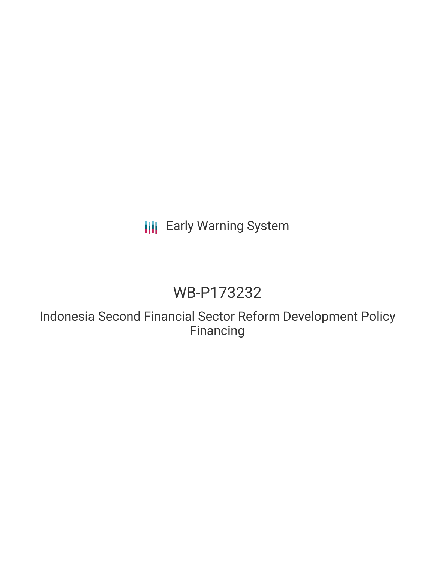## **III** Early Warning System

# WB-P173232

Indonesia Second Financial Sector Reform Development Policy Financing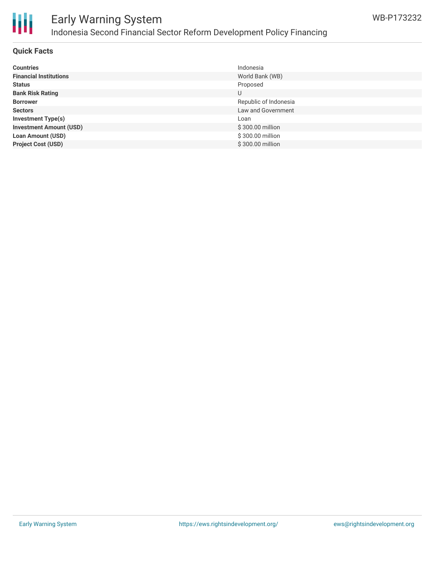

## Early Warning System Indonesia Second Financial Sector Reform Development Policy Financing

#### **Quick Facts**

| <b>Countries</b>               | Indonesia             |
|--------------------------------|-----------------------|
| <b>Financial Institutions</b>  | World Bank (WB)       |
| <b>Status</b>                  | Proposed              |
| <b>Bank Risk Rating</b>        | U                     |
| <b>Borrower</b>                | Republic of Indonesia |
| <b>Sectors</b>                 | Law and Government    |
| <b>Investment Type(s)</b>      | Loan                  |
| <b>Investment Amount (USD)</b> | \$300.00 million      |
| <b>Loan Amount (USD)</b>       | \$300.00 million      |
| <b>Project Cost (USD)</b>      | \$300.00 million      |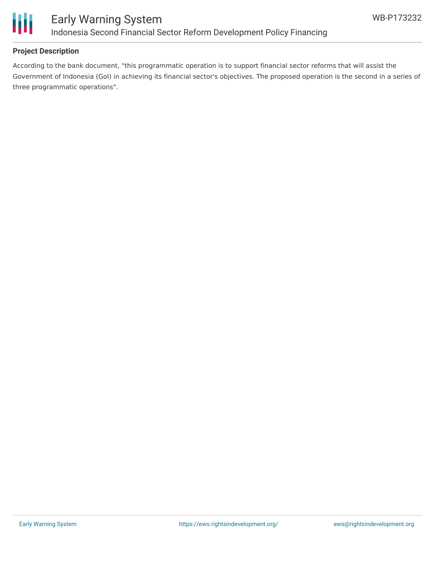

#### **Project Description**

According to the bank document, "this programmatic operation is to support financial sector reforms that will assist the Government of Indonesia (GoI) in achieving its financial sector's objectives. The proposed operation is the second in a series of three programmatic operations".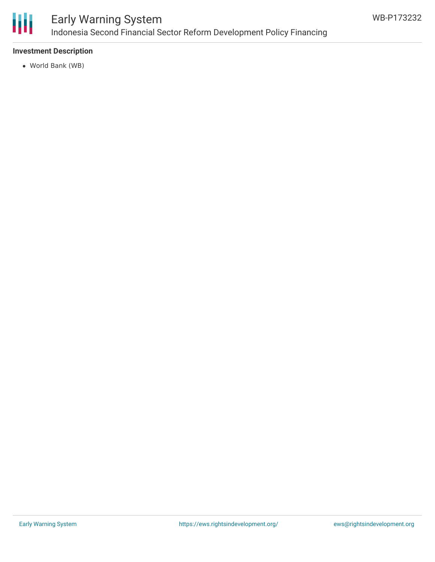

#### **Investment Description**

World Bank (WB)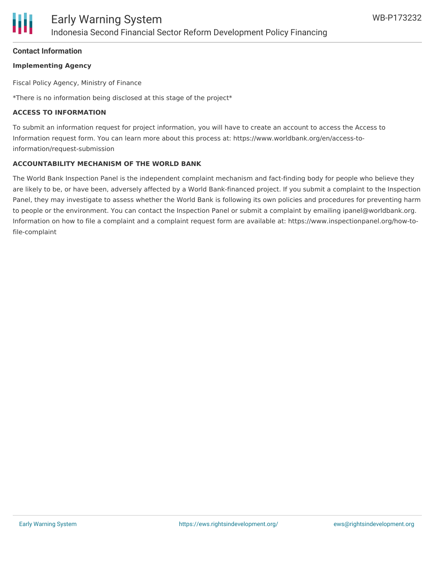#### **Contact Information**

#### **Implementing Agency**

Fiscal Policy Agency, Ministry of Finance

\*There is no information being disclosed at this stage of the project\*

#### **ACCESS TO INFORMATION**

To submit an information request for project information, you will have to create an account to access the Access to Information request form. You can learn more about this process at: https://www.worldbank.org/en/access-toinformation/request-submission

#### **ACCOUNTABILITY MECHANISM OF THE WORLD BANK**

The World Bank Inspection Panel is the independent complaint mechanism and fact-finding body for people who believe they are likely to be, or have been, adversely affected by a World Bank-financed project. If you submit a complaint to the Inspection Panel, they may investigate to assess whether the World Bank is following its own policies and procedures for preventing harm to people or the environment. You can contact the Inspection Panel or submit a complaint by emailing ipanel@worldbank.org. Information on how to file a complaint and a complaint request form are available at: https://www.inspectionpanel.org/how-tofile-complaint